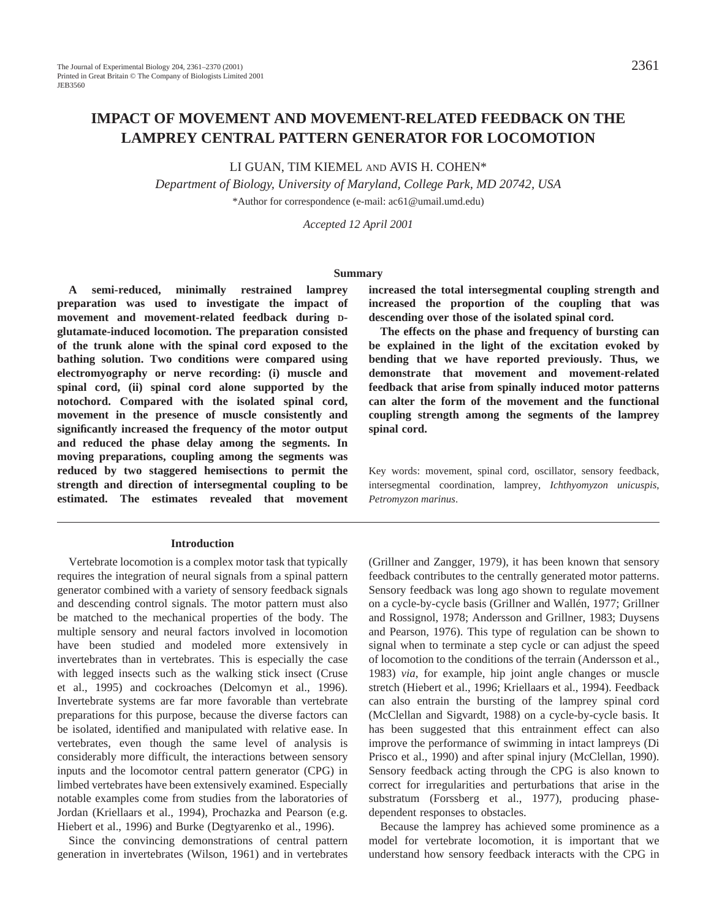LI GUAN, TIM KIEMEL AND AVIS H. COHEN\*

*Department of Biology, University of Maryland, College Park, MD 20742, USA* \*Author for correspondence (e-mail: ac61@umail.umd.edu)

*Accepted 12 April 2001*

### **Summary**

**A semi-reduced, minimally restrained lamprey preparation was used to investigate the impact of movement and movement-related feedback during Dglutamate-induced locomotion. The preparation consisted of the trunk alone with the spinal cord exposed to the bathing solution. Two conditions were compared using electromyography or nerve recording: (i) muscle and spinal cord, (ii) spinal cord alone supported by the notochord. Compared with the isolated spinal cord, movement in the presence of muscle consistently and significantly increased the frequency of the motor output and reduced the phase delay among the segments. In moving preparations, coupling among the segments was reduced by two staggered hemisections to permit the strength and direction of intersegmental coupling to be estimated. The estimates revealed that movement**

### **Introduction**

Vertebrate locomotion is a complex motor task that typically requires the integration of neural signals from a spinal pattern generator combined with a variety of sensory feedback signals and descending control signals. The motor pattern must also be matched to the mechanical properties of the body. The multiple sensory and neural factors involved in locomotion have been studied and modeled more extensively in invertebrates than in vertebrates. This is especially the case with legged insects such as the walking stick insect (Cruse et al., 1995) and cockroaches (Delcomyn et al., 1996). Invertebrate systems are far more favorable than vertebrate preparations for this purpose, because the diverse factors can be isolated, identified and manipulated with relative ease. In vertebrates, even though the same level of analysis is considerably more difficult, the interactions between sensory inputs and the locomotor central pattern generator (CPG) in limbed vertebrates have been extensively examined. Especially notable examples come from studies from the laboratories of Jordan (Kriellaars et al., 1994), Prochazka and Pearson (e.g. Hiebert et al., 1996) and Burke (Degtyarenko et al., 1996).

Since the convincing demonstrations of central pattern generation in invertebrates (Wilson, 1961) and in vertebrates **increased the total intersegmental coupling strength and increased the proportion of the coupling that was descending over those of the isolated spinal cord.**

**The effects on the phase and frequency of bursting can be explained in the light of the excitation evoked by bending that we have reported previously. Thus, we demonstrate that movement and movement-related feedback that arise from spinally induced motor patterns can alter the form of the movement and the functional coupling strength among the segments of the lamprey spinal cord.**

Key words: movement, spinal cord, oscillator, sensory feedback, intersegmental coordination, lamprey, *Ichthyomyzon unicuspis*, *Petromyzon marinus*.

(Grillner and Zangger, 1979), it has been known that sensory feedback contributes to the centrally generated motor patterns. Sensory feedback was long ago shown to regulate movement on a cycle-by-cycle basis (Grillner and Wallén, 1977; Grillner and Rossignol, 1978; Andersson and Grillner, 1983; Duysens and Pearson, 1976). This type of regulation can be shown to signal when to terminate a step cycle or can adjust the speed of locomotion to the conditions of the terrain (Andersson et al., 1983) *via*, for example, hip joint angle changes or muscle stretch (Hiebert et al., 1996; Kriellaars et al., 1994). Feedback can also entrain the bursting of the lamprey spinal cord (McClellan and Sigvardt, 1988) on a cycle-by-cycle basis. It has been suggested that this entrainment effect can also improve the performance of swimming in intact lampreys (Di Prisco et al., 1990) and after spinal injury (McClellan, 1990). Sensory feedback acting through the CPG is also known to correct for irregularities and perturbations that arise in the substratum (Forssberg et al., 1977), producing phasedependent responses to obstacles.

Because the lamprey has achieved some prominence as a model for vertebrate locomotion, it is important that we understand how sensory feedback interacts with the CPG in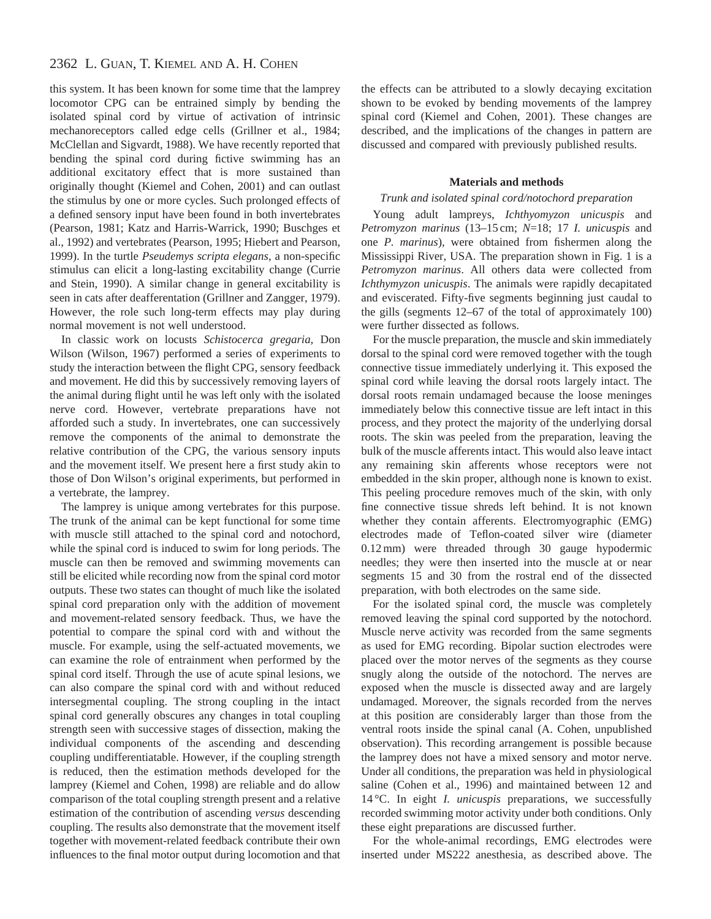# 2362 L. GUAN, T. KIEMEL AND A. H. COHEN

this system. It has been known for some time that the lamprey locomotor CPG can be entrained simply by bending the isolated spinal cord by virtue of activation of intrinsic mechanoreceptors called edge cells (Grillner et al., 1984; McClellan and Sigvardt, 1988). We have recently reported that bending the spinal cord during fictive swimming has an additional excitatory effect that is more sustained than originally thought (Kiemel and Cohen, 2001) and can outlast the stimulus by one or more cycles. Such prolonged effects of a defined sensory input have been found in both invertebrates (Pearson, 1981; Katz and Harris-Warrick, 1990; Buschges et al., 1992) and vertebrates (Pearson, 1995; Hiebert and Pearson, 1999). In the turtle *Pseudemys scripta elegans*, a non-specific stimulus can elicit a long-lasting excitability change (Currie and Stein, 1990). A similar change in general excitability is seen in cats after deafferentation (Grillner and Zangger, 1979). However, the role such long-term effects may play during normal movement is not well understood.

In classic work on locusts *Schistocerca gregaria*, Don Wilson (Wilson, 1967) performed a series of experiments to study the interaction between the flight CPG, sensory feedback and movement. He did this by successively removing layers of the animal during flight until he was left only with the isolated nerve cord. However, vertebrate preparations have not afforded such a study. In invertebrates, one can successively remove the components of the animal to demonstrate the relative contribution of the CPG, the various sensory inputs and the movement itself. We present here a first study akin to those of Don Wilson's original experiments, but performed in a vertebrate, the lamprey.

The lamprey is unique among vertebrates for this purpose. The trunk of the animal can be kept functional for some time with muscle still attached to the spinal cord and notochord, while the spinal cord is induced to swim for long periods. The muscle can then be removed and swimming movements can still be elicited while recording now from the spinal cord motor outputs. These two states can thought of much like the isolated spinal cord preparation only with the addition of movement and movement-related sensory feedback. Thus, we have the potential to compare the spinal cord with and without the muscle. For example, using the self-actuated movements, we can examine the role of entrainment when performed by the spinal cord itself. Through the use of acute spinal lesions, we can also compare the spinal cord with and without reduced intersegmental coupling. The strong coupling in the intact spinal cord generally obscures any changes in total coupling strength seen with successive stages of dissection, making the individual components of the ascending and descending coupling undifferentiatable. However, if the coupling strength is reduced, then the estimation methods developed for the lamprey (Kiemel and Cohen, 1998) are reliable and do allow comparison of the total coupling strength present and a relative estimation of the contribution of ascending *versus* descending coupling. The results also demonstrate that the movement itself together with movement-related feedback contribute their own influences to the final motor output during locomotion and that

the effects can be attributed to a slowly decaying excitation shown to be evoked by bending movements of the lamprey spinal cord (Kiemel and Cohen, 2001). These changes are described, and the implications of the changes in pattern are discussed and compared with previously published results.

### **Materials and methods**

### *Trunk and isolated spinal cord/notochord preparation*

Young adult lampreys, *Ichthyomyzon unicuspis* and *Petromyzon marinus* (13–15 cm; *N*=18; 17 *I. unicuspis* and one *P. marinus*), were obtained from fishermen along the Mississippi River, USA. The preparation shown in Fig. 1 is a *Petromyzon marinus*. All others data were collected from *Ichthymyzon unicuspis*. The animals were rapidly decapitated and eviscerated. Fifty-five segments beginning just caudal to the gills (segments 12–67 of the total of approximately 100) were further dissected as follows.

For the muscle preparation, the muscle and skin immediately dorsal to the spinal cord were removed together with the tough connective tissue immediately underlying it. This exposed the spinal cord while leaving the dorsal roots largely intact. The dorsal roots remain undamaged because the loose meninges immediately below this connective tissue are left intact in this process, and they protect the majority of the underlying dorsal roots. The skin was peeled from the preparation, leaving the bulk of the muscle afferents intact. This would also leave intact any remaining skin afferents whose receptors were not embedded in the skin proper, although none is known to exist. This peeling procedure removes much of the skin, with only fine connective tissue shreds left behind. It is not known whether they contain afferents. Electromyographic (EMG) electrodes made of Teflon-coated silver wire (diameter 0.12 mm) were threaded through 30 gauge hypodermic needles; they were then inserted into the muscle at or near segments 15 and 30 from the rostral end of the dissected preparation, with both electrodes on the same side.

For the isolated spinal cord, the muscle was completely removed leaving the spinal cord supported by the notochord. Muscle nerve activity was recorded from the same segments as used for EMG recording. Bipolar suction electrodes were placed over the motor nerves of the segments as they course snugly along the outside of the notochord. The nerves are exposed when the muscle is dissected away and are largely undamaged. Moreover, the signals recorded from the nerves at this position are considerably larger than those from the ventral roots inside the spinal canal (A. Cohen, unpublished observation). This recording arrangement is possible because the lamprey does not have a mixed sensory and motor nerve. Under all conditions, the preparation was held in physiological saline (Cohen et al., 1996) and maintained between 12 and 14 °C. In eight *I. unicuspis* preparations, we successfully recorded swimming motor activity under both conditions. Only these eight preparations are discussed further.

For the whole-animal recordings, EMG electrodes were inserted under MS222 anesthesia, as described above. The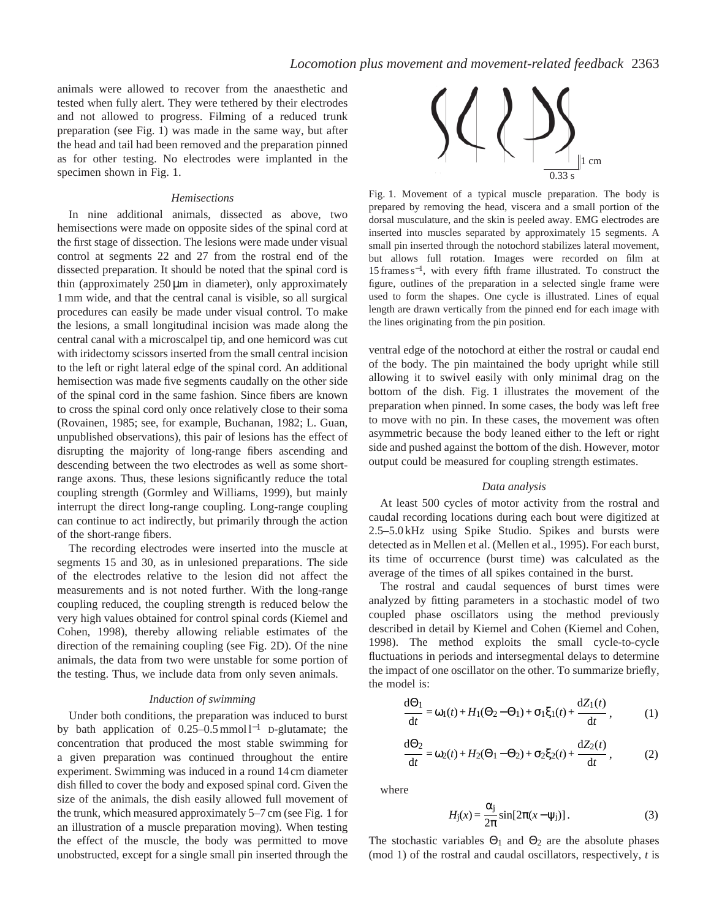animals were allowed to recover from the anaesthetic and tested when fully alert. They were tethered by their electrodes and not allowed to progress. Filming of a reduced trunk preparation (see Fig. 1) was made in the same way, but after the head and tail had been removed and the preparation pinned as for other testing. No electrodes were implanted in the specimen shown in Fig. 1.

#### *Hemisections*

In nine additional animals, dissected as above, two hemisections were made on opposite sides of the spinal cord at the first stage of dissection. The lesions were made under visual control at segments 22 and 27 from the rostral end of the dissected preparation. It should be noted that the spinal cord is thin (approximately 250µm in diameter), only approximately 1 mm wide, and that the central canal is visible, so all surgical procedures can easily be made under visual control. To make the lesions, a small longitudinal incision was made along the central canal with a microscalpel tip, and one hemicord was cut with iridectomy scissors inserted from the small central incision to the left or right lateral edge of the spinal cord. An additional hemisection was made five segments caudally on the other side of the spinal cord in the same fashion. Since fibers are known to cross the spinal cord only once relatively close to their soma (Rovainen, 1985; see, for example, Buchanan, 1982; L. Guan, unpublished observations), this pair of lesions has the effect of disrupting the majority of long-range fibers ascending and descending between the two electrodes as well as some shortrange axons. Thus, these lesions significantly reduce the total coupling strength (Gormley and Williams, 1999), but mainly interrupt the direct long-range coupling. Long-range coupling can continue to act indirectly, but primarily through the action of the short-range fibers.

The recording electrodes were inserted into the muscle at segments 15 and 30, as in unlesioned preparations. The side of the electrodes relative to the lesion did not affect the measurements and is not noted further. With the long-range coupling reduced, the coupling strength is reduced below the very high values obtained for control spinal cords (Kiemel and Cohen, 1998), thereby allowing reliable estimates of the direction of the remaining coupling (see Fig. 2D). Of the nine animals, the data from two were unstable for some portion of the testing. Thus, we include data from only seven animals.

#### *Induction of swimming*

Under both conditions, the preparation was induced to burst by bath application of 0.25–0.5 mmol l−<sup>1</sup> D-glutamate; the concentration that produced the most stable swimming for a given preparation was continued throughout the entire experiment. Swimming was induced in a round 14 cm diameter dish filled to cover the body and exposed spinal cord. Given the size of the animals, the dish easily allowed full movement of the trunk, which measured approximately 5–7 cm (see Fig. 1 for an illustration of a muscle preparation moving). When testing the effect of the muscle, the body was permitted to move unobstructed, except for a single small pin inserted through the



Fig. 1. Movement of a typical muscle preparation. The body is prepared by removing the head, viscera and a small portion of the dorsal musculature, and the skin is peeled away. EMG electrodes are inserted into muscles separated by approximately 15 segments. A small pin inserted through the notochord stabilizes lateral movement, but allows full rotation. Images were recorded on film at 15 frames s<sup>−</sup>1, with every fifth frame illustrated. To construct the figure, outlines of the preparation in a selected single frame were used to form the shapes. One cycle is illustrated. Lines of equal length are drawn vertically from the pinned end for each image with the lines originating from the pin position.

ventral edge of the notochord at either the rostral or caudal end of the body. The pin maintained the body upright while still allowing it to swivel easily with only minimal drag on the bottom of the dish. Fig. 1 illustrates the movement of the preparation when pinned. In some cases, the body was left free to move with no pin. In these cases, the movement was often asymmetric because the body leaned either to the left or right side and pushed against the bottom of the dish. However, motor output could be measured for coupling strength estimates.

### *Data analysis*

At least 500 cycles of motor activity from the rostral and caudal recording locations during each bout were digitized at 2.5–5.0 kHz using Spike Studio. Spikes and bursts were detected as in Mellen et al. (Mellen et al., 1995). For each burst, its time of occurrence (burst time) was calculated as the average of the times of all spikes contained in the burst.

The rostral and caudal sequences of burst times were analyzed by fitting parameters in a stochastic model of two coupled phase oscillators using the method previously described in detail by Kiemel and Cohen (Kiemel and Cohen, 1998). The method exploits the small cycle-to-cycle fluctuations in periods and intersegmental delays to determine the impact of one oscillator on the other. To summarize briefly, the model is:

$$
\frac{d\Theta_1}{dt} = \omega_1(t) + H_1(\Theta_2 - \Theta_1) + \sigma_1 \xi_1(t) + \frac{dZ_1(t)}{dt},
$$
 (1)

$$
\frac{d\Theta_2}{dt} = \omega_2(t) + H_2(\Theta_1 - \Theta_2) + \sigma_2 \xi_2(t) + \frac{dZ_2(t)}{dt},
$$
 (2)

where

$$
H_{\rm j}(x) = \frac{\alpha_{\rm j}}{2\pi} \sin[2\pi(x - \psi_{\rm j})]. \tag{3}
$$

The stochastic variables  $\Theta_1$  and  $\Theta_2$  are the absolute phases (mod 1) of the rostral and caudal oscillators, respectively, *t* is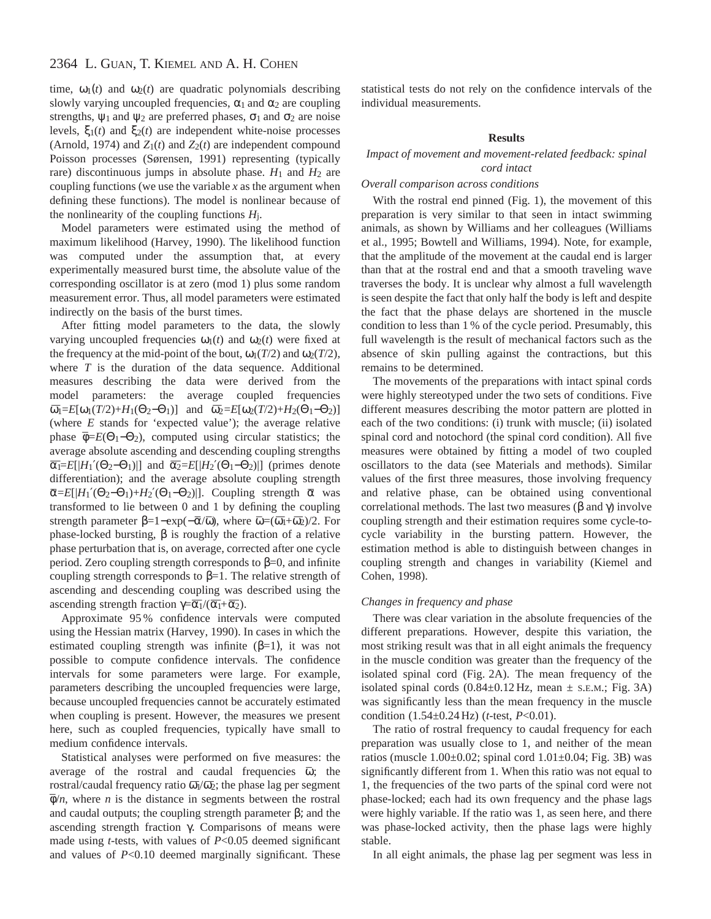time,  $\omega_1(t)$  and  $\omega_2(t)$  are quadratic polynomials describing slowly varying uncoupled frequencies,  $\alpha_1$  and  $\alpha_2$  are coupling strengths,  $\psi_1$  and  $\psi_2$  are preferred phases,  $\sigma_1$  and  $\sigma_2$  are noise levels,  $ξ_1(t)$  and  $ξ_2(t)$  are independent white-noise processes (Arnold, 1974) and  $Z_1(t)$  and  $Z_2(t)$  are independent compound Poisson processes (Sørensen, 1991) representing (typically rare) discontinuous jumps in absolute phase.  $H_1$  and  $H_2$  are coupling functions (we use the variable *x* as the argument when defining these functions). The model is nonlinear because of the nonlinearity of the coupling functions  $H<sub>i</sub>$ .

Model parameters were estimated using the method of maximum likelihood (Harvey, 1990). The likelihood function was computed under the assumption that, at every experimentally measured burst time, the absolute value of the corresponding oscillator is at zero (mod 1) plus some random measurement error. Thus, all model parameters were estimated indirectly on the basis of the burst times.

After fitting model parameters to the data, the slowly varying uncoupled frequencies  $\omega_1(t)$  and  $\omega_2(t)$  were fixed at the frequency at the mid-point of the bout,  $\omega_1(T/2)$  and  $\omega_2(T/2)$ , where *T* is the duration of the data sequence. Additional measures describing the data were derived from the model parameters: the average coupled frequencies  $\overline{\omega_1} = E[\omega_1(T/2) + H_1(\Theta_2 - \Theta_1)]$  and  $\overline{\omega_2} = E[\omega_2(T/2) + H_2(\Theta_1 - \Theta_2)]$ (where *E* stands for 'expected value'); the average relative phase  $\overline{\Phi} = E(\Theta_1 - \Theta_2)$ , computed using circular statistics; the average absolute ascending and descending coupling strengths  $\overline{\alpha_1} = E[|H_1'(\Theta_2 - \Theta_1)|]$  and  $\overline{\alpha_2} = E[|H_2'(\Theta_1 - \Theta_2)|]$  (primes denote differentiation); and the average absolute coupling strength  $\overline{\alpha} = E[|H_1'(\Theta_2 - \Theta_1) + H_2'(\Theta_1 - \Theta_2)|]$ . Coupling strength  $\overline{\alpha}$  was transformed to lie between 0 and 1 by defining the coupling transformed to the between 0 and 1 by defining the coupling<br>strength parameter  $\beta=1-\exp(-\overline{\alpha}/\overline{\omega})$ , where  $\overline{\omega}=(\overline{\omega_1}+\overline{\omega_2})/2$ . For phase-locked bursting, β is roughly the fraction of a relative phase perturbation that is, on average, corrected after one cycle period. Zero coupling strength corresponds to  $β=0$ , and infinite coupling strength corresponds to  $\beta=1$ . The relative strength of ascending and descending coupling was described using the ascending strength fraction  $\gamma = \overline{\alpha_1}/(\overline{\alpha_1} + \overline{\alpha_2})$ .

Approximate 95 % confidence intervals were computed using the Hessian matrix (Harvey, 1990). In cases in which the estimated coupling strength was infinite  $(\beta=1)$ , it was not possible to compute confidence intervals. The confidence intervals for some parameters were large. For example, parameters describing the uncoupled frequencies were large, because uncoupled frequencies cannot be accurately estimated when coupling is present. However, the measures we present here, such as coupled frequencies, typically have small to medium confidence intervals.

Statistical analyses were performed on five measures: the average of the rostral and caudal frequencies  $\overline{\omega}$ ; the rostral/caudal frequency ratio  $\overline{\omega}_1/\overline{\omega}_2$ ; the phase lag per segment  $\bar{\phi}/n$ , where *n* is the distance in segments between the rostral and caudal outputs; the coupling strength parameter  $\beta$ ; and the ascending strength fraction γ. Comparisons of means were made using *t*-tests, with values of *P*<0.05 deemed significant and values of *P*<0.10 deemed marginally significant. These

statistical tests do not rely on the confidence intervals of the individual measurements.

### **Results**

*Impact of movement and movement-related feedback: spinal cord intact*

### *Overall comparison across conditions*

With the rostral end pinned (Fig. 1), the movement of this preparation is very similar to that seen in intact swimming animals, as shown by Williams and her colleagues (Williams et al., 1995; Bowtell and Williams, 1994). Note, for example, that the amplitude of the movement at the caudal end is larger than that at the rostral end and that a smooth traveling wave traverses the body. It is unclear why almost a full wavelength is seen despite the fact that only half the body is left and despite the fact that the phase delays are shortened in the muscle condition to less than 1 % of the cycle period. Presumably, this full wavelength is the result of mechanical factors such as the absence of skin pulling against the contractions, but this remains to be determined.

The movements of the preparations with intact spinal cords were highly stereotyped under the two sets of conditions. Five different measures describing the motor pattern are plotted in each of the two conditions: (i) trunk with muscle; (ii) isolated spinal cord and notochord (the spinal cord condition). All five measures were obtained by fitting a model of two coupled oscillators to the data (see Materials and methods). Similar values of the first three measures, those involving frequency and relative phase, can be obtained using conventional correlational methods. The last two measures (β and γ) involve coupling strength and their estimation requires some cycle-tocycle variability in the bursting pattern. However, the estimation method is able to distinguish between changes in coupling strength and changes in variability (Kiemel and Cohen, 1998).

### *Changes in frequency and phase*

There was clear variation in the absolute frequencies of the different preparations. However, despite this variation, the most striking result was that in all eight animals the frequency in the muscle condition was greater than the frequency of the isolated spinal cord (Fig. 2A). The mean frequency of the isolated spinal cords  $(0.84\pm0.12 \text{ Hz}, \text{ mean } \pm \text{ s.E.M.}; \text{ Fig. 3A})$ was significantly less than the mean frequency in the muscle condition (1.54±0.24 Hz) (*t*-test, *P*<0.01).

The ratio of rostral frequency to caudal frequency for each preparation was usually close to 1, and neither of the mean ratios (muscle  $1.00\pm0.02$ ; spinal cord  $1.01\pm0.04$ ; Fig. 3B) was significantly different from 1. When this ratio was not equal to 1, the frequencies of the two parts of the spinal cord were not phase-locked; each had its own frequency and the phase lags were highly variable. If the ratio was 1, as seen here, and there was phase-locked activity, then the phase lags were highly stable.

In all eight animals, the phase lag per segment was less in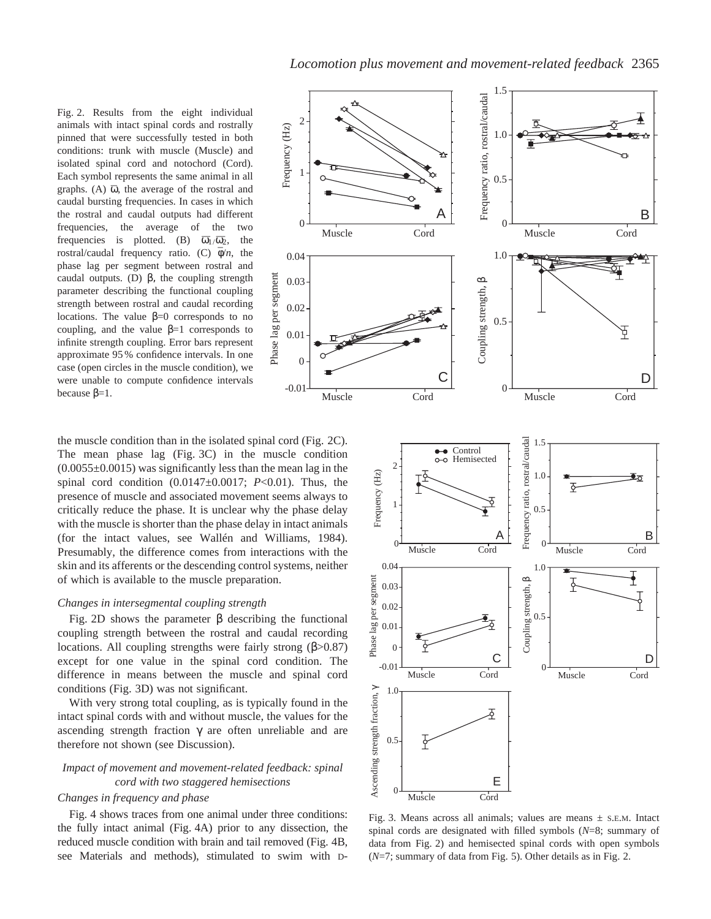Fig. 2. Results from the eight individual animals with intact spinal cords and rostrally pinned that were successfully tested in both conditions: trunk with muscle (Muscle) and isolated spinal cord and notochord (Cord). Each symbol represents the same animal in all  $g$ raphs. (A)  $\overline{\omega}$ , the average of the rostral and caudal bursting frequencies. In cases in which the rostral and caudal outputs had different frequencies, the average of the two frequencies is plotted. (B)  $\overline{\omega_1}/\overline{\omega_2}$ , the rostral/caudal frequency ratio. (C)  $\overline{\phi}/n$ , the phase lag per segment between rostral and caudal outputs. (D) β, the coupling strength parameter describing the functional coupling strength between rostral and caudal recording locations. The value  $β=0$  corresponds to no coupling, and the value  $\beta=1$  corresponds to infinite strength coupling. Error bars represent approximate 95 % confidence intervals. In one case (open circles in the muscle condition), we were unable to compute confidence intervals because  $β=1$ .

the muscle condition than in the isolated spinal cord (Fig. 2C). The mean phase lag (Fig. 3C) in the muscle condition  $(0.0055\pm0.0015)$  was significantly less than the mean lag in the spinal cord condition (0.0147±0.0017; *P*<0.01). Thus, the presence of muscle and associated movement seems always to critically reduce the phase. It is unclear why the phase delay with the muscle is shorter than the phase delay in intact animals (for the intact values, see Wallén and Williams, 1984). Presumably, the difference comes from interactions with the skin and its afferents or the descending control systems, neither of which is available to the muscle preparation.

#### *Changes in intersegmental coupling strength*

Fig. 2D shows the parameter β describing the functional coupling strength between the rostral and caudal recording locations. All coupling strengths were fairly strong  $(\beta > 0.87)$ except for one value in the spinal cord condition. The difference in means between the muscle and spinal cord conditions (Fig. 3D) was not significant.

With very strong total coupling, as is typically found in the intact spinal cords with and without muscle, the values for the ascending strength fraction  $\gamma$  are often unreliable and are therefore not shown (see Discussion).

## *Impact of movement and movement-related feedback: spinal cord with two staggered hemisections*

## *Changes in frequency and phase*

Fig. 4 shows traces from one animal under three conditions: the fully intact animal (Fig. 4A) prior to any dissection, the reduced muscle condition with brain and tail removed (Fig. 4B, see Materials and methods), stimulated to swim with D-





Fig. 3. Means across all animals; values are means  $\pm$  s.e.m. Intact spinal cords are designated with filled symbols (*N*=8; summary of data from Fig. 2) and hemisected spinal cords with open symbols (*N*=7; summary of data from Fig. 5). Other details as in Fig. 2.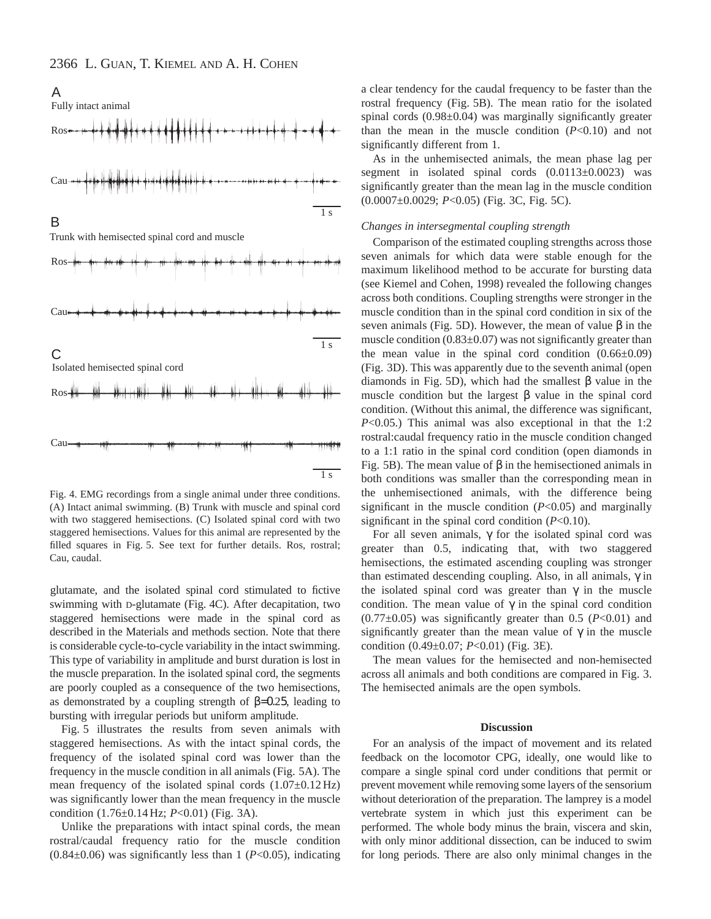

Fig. 4. EMG recordings from a single animal under three conditions. (A) Intact animal swimming. (B) Trunk with muscle and spinal cord with two staggered hemisections. (C) Isolated spinal cord with two staggered hemisections. Values for this animal are represented by the filled squares in Fig. 5. See text for further details. Ros, rostral; Cau, caudal.

glutamate, and the isolated spinal cord stimulated to fictive swimming with D-glutamate (Fig. 4C). After decapitation, two staggered hemisections were made in the spinal cord as described in the Materials and methods section. Note that there is considerable cycle-to-cycle variability in the intact swimming. This type of variability in amplitude and burst duration is lost in the muscle preparation. In the isolated spinal cord, the segments are poorly coupled as a consequence of the two hemisections, as demonstrated by a coupling strength of  $β=0.25$ , leading to bursting with irregular periods but uniform amplitude.

Fig. 5 illustrates the results from seven animals with staggered hemisections. As with the intact spinal cords, the frequency of the isolated spinal cord was lower than the frequency in the muscle condition in all animals (Fig. 5A). The mean frequency of the isolated spinal cords (1.07±0.12 Hz) was significantly lower than the mean frequency in the muscle condition (1.76±0.14 Hz; *P*<0.01) (Fig. 3A).

Unlike the preparations with intact spinal cords, the mean rostral/caudal frequency ratio for the muscle condition (0.84±0.06) was significantly less than 1 (*P*<0.05), indicating

a clear tendency for the caudal frequency to be faster than the rostral frequency (Fig. 5B). The mean ratio for the isolated spinal cords (0.98±0.04) was marginally significantly greater than the mean in the muscle condition  $(P<0.10)$  and not significantly different from 1.

As in the unhemisected animals, the mean phase lag per segment in isolated spinal cords (0.0113±0.0023) was significantly greater than the mean lag in the muscle condition (0.0007±0.0029; *P*<0.05) (Fig. 3C, Fig. 5C).

#### *Changes in intersegmental coupling strength*

Comparison of the estimated coupling strengths across those seven animals for which data were stable enough for the maximum likelihood method to be accurate for bursting data (see Kiemel and Cohen, 1998) revealed the following changes across both conditions. Coupling strengths were stronger in the muscle condition than in the spinal cord condition in six of the seven animals (Fig. 5D). However, the mean of value β in the muscle condition  $(0.83\pm0.07)$  was not significantly greater than the mean value in the spinal cord condition  $(0.66\pm0.09)$ (Fig. 3D). This was apparently due to the seventh animal (open diamonds in Fig. 5D), which had the smallest β value in the muscle condition but the largest  $\beta$  value in the spinal cord condition. (Without this animal, the difference was significant, *P*<0.05.) This animal was also exceptional in that the 1:2 rostral:caudal frequency ratio in the muscle condition changed to a 1:1 ratio in the spinal cord condition (open diamonds in Fig. 5B). The mean value of β in the hemisectioned animals in both conditions was smaller than the corresponding mean in the unhemisectioned animals, with the difference being significant in the muscle condition (*P*<0.05) and marginally significant in the spinal cord condition (*P*<0.10).

For all seven animals, γ for the isolated spinal cord was greater than 0.5, indicating that, with two staggered hemisections, the estimated ascending coupling was stronger than estimated descending coupling. Also, in all animals,  $γ$  in the isolated spinal cord was greater than  $\gamma$  in the muscle condition. The mean value of  $\gamma$  in the spinal cord condition  $(0.77\pm0.05)$  was significantly greater than 0.5 ( $P<0.01$ ) and significantly greater than the mean value of  $\gamma$  in the muscle condition (0.49±0.07; *P*<0.01) (Fig. 3E).

The mean values for the hemisected and non-hemisected across all animals and both conditions are compared in Fig. 3. The hemisected animals are the open symbols.

#### **Discussion**

For an analysis of the impact of movement and its related feedback on the locomotor CPG, ideally, one would like to compare a single spinal cord under conditions that permit or prevent movement while removing some layers of the sensorium without deterioration of the preparation. The lamprey is a model vertebrate system in which just this experiment can be performed. The whole body minus the brain, viscera and skin, with only minor additional dissection, can be induced to swim for long periods. There are also only minimal changes in the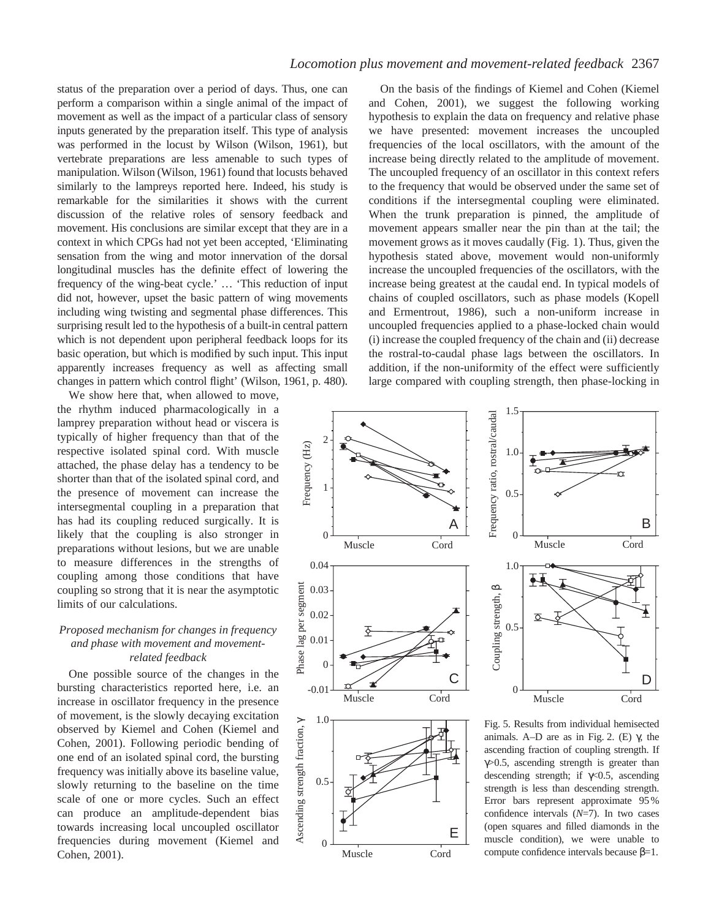# *Locomotion plus movement and movement-related feedback* 2367

status of the preparation over a period of days. Thus, one can perform a comparison within a single animal of the impact of movement as well as the impact of a particular class of sensory inputs generated by the preparation itself. This type of analysis was performed in the locust by Wilson (Wilson, 1961), but vertebrate preparations are less amenable to such types of manipulation. Wilson (Wilson, 1961) found that locusts behaved similarly to the lampreys reported here. Indeed, his study is remarkable for the similarities it shows with the current discussion of the relative roles of sensory feedback and movement. His conclusions are similar except that they are in a context in which CPGs had not yet been accepted, 'Eliminating sensation from the wing and motor innervation of the dorsal longitudinal muscles has the definite effect of lowering the frequency of the wing-beat cycle.' … 'This reduction of input did not, however, upset the basic pattern of wing movements including wing twisting and segmental phase differences. This surprising result led to the hypothesis of a built-in central pattern which is not dependent upon peripheral feedback loops for its basic operation, but which is modified by such input. This input apparently increases frequency as well as affecting small changes in pattern which control flight' (Wilson, 1961, p. 480).

We show here that, when allowed to move, the rhythm induced pharmacologically in a lamprey preparation without head or viscera is typically of higher frequency than that of the respective isolated spinal cord. With muscle attached, the phase delay has a tendency to be shorter than that of the isolated spinal cord, and the presence of movement can increase the intersegmental coupling in a preparation that has had its coupling reduced surgically. It is likely that the coupling is also stronger in preparations without lesions, but we are unable to measure differences in the strengths of coupling among those conditions that have coupling so strong that it is near the asymptotic limits of our calculations.

## *Proposed mechanism for changes in frequency and phase with movement and movementrelated feedback*

One possible source of the changes in the bursting characteristics reported here, i.e. an increase in oscillator frequency in the presence of movement, is the slowly decaying excitation observed by Kiemel and Cohen (Kiemel and Cohen, 2001). Following periodic bending of one end of an isolated spinal cord, the bursting frequency was initially above its baseline value, slowly returning to the baseline on the time scale of one or more cycles. Such an effect can produce an amplitude-dependent bias towards increasing local uncoupled oscillator frequencies during movement (Kiemel and Cohen, 2001).

 $\overline{0}$ 

0.5

On the basis of the findings of Kiemel and Cohen (Kiemel and Cohen, 2001), we suggest the following working hypothesis to explain the data on frequency and relative phase we have presented: movement increases the uncoupled frequencies of the local oscillators, with the amount of the increase being directly related to the amplitude of movement. The uncoupled frequency of an oscillator in this context refers to the frequency that would be observed under the same set of conditions if the intersegmental coupling were eliminated. When the trunk preparation is pinned, the amplitude of movement appears smaller near the pin than at the tail; the movement grows as it moves caudally (Fig. 1). Thus, given the hypothesis stated above, movement would non-uniformly increase the uncoupled frequencies of the oscillators, with the increase being greatest at the caudal end. In typical models of chains of coupled oscillators, such as phase models (Kopell and Ermentrout, 1986), such a non-uniform increase in uncoupled frequencies applied to a phase-locked chain would (i) increase the coupled frequency of the chain and (ii) decrease the rostral-to-caudal phase lags between the oscillators. In addition, if the non-uniformity of the effect were sufficiently large compared with coupling strength, then phase-locking in



E

Muscle Cord

descending strength; if  $\gamma \lt 0.5$ , ascending strength is less than descending strength. Error bars represent approximate 95% confidence intervals (*N*=7). In two cases (open squares and filled diamonds in the muscle condition), we were unable to compute confidence intervals because β=1.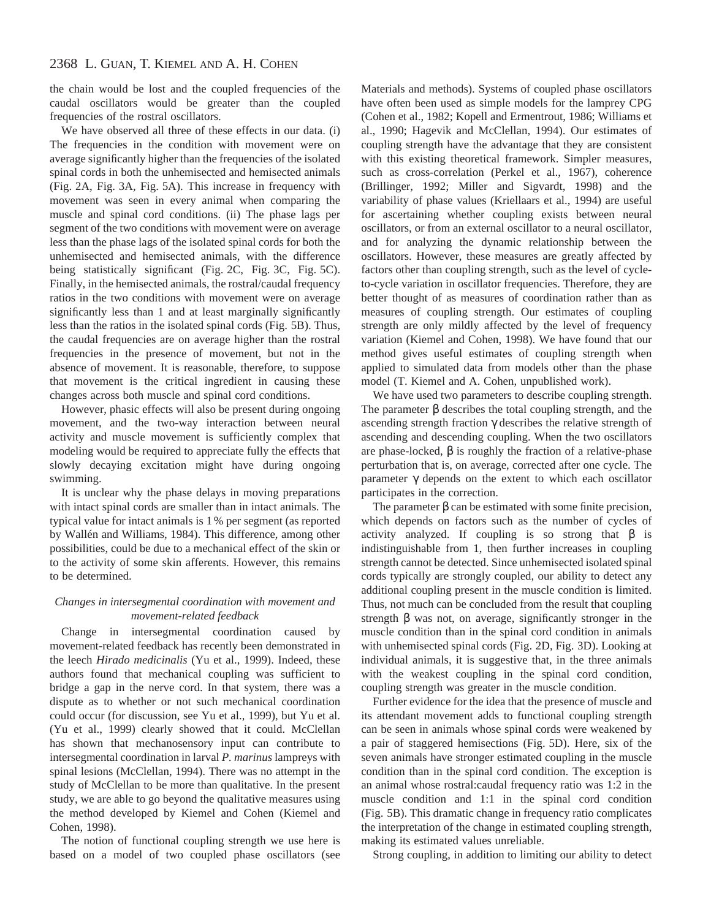the chain would be lost and the coupled frequencies of the caudal oscillators would be greater than the coupled frequencies of the rostral oscillators.

We have observed all three of these effects in our data. (i) The frequencies in the condition with movement were on average significantly higher than the frequencies of the isolated spinal cords in both the unhemisected and hemisected animals (Fig. 2A, Fig. 3A, Fig. 5A). This increase in frequency with movement was seen in every animal when comparing the muscle and spinal cord conditions. (ii) The phase lags per segment of the two conditions with movement were on average less than the phase lags of the isolated spinal cords for both the unhemisected and hemisected animals, with the difference being statistically significant (Fig. 2C, Fig. 3C, Fig. 5C). Finally, in the hemisected animals, the rostral/caudal frequency ratios in the two conditions with movement were on average significantly less than 1 and at least marginally significantly less than the ratios in the isolated spinal cords (Fig. 5B). Thus, the caudal frequencies are on average higher than the rostral frequencies in the presence of movement, but not in the absence of movement. It is reasonable, therefore, to suppose that movement is the critical ingredient in causing these changes across both muscle and spinal cord conditions.

However, phasic effects will also be present during ongoing movement, and the two-way interaction between neural activity and muscle movement is sufficiently complex that modeling would be required to appreciate fully the effects that slowly decaying excitation might have during ongoing swimming.

It is unclear why the phase delays in moving preparations with intact spinal cords are smaller than in intact animals. The typical value for intact animals is 1 % per segment (as reported by Wallén and Williams, 1984). This difference, among other possibilities, could be due to a mechanical effect of the skin or to the activity of some skin afferents. However, this remains to be determined.

## *Changes in intersegmental coordination with movement and movement-related feedback*

Change in intersegmental coordination caused by movement-related feedback has recently been demonstrated in the leech *Hirado medicinalis* (Yu et al., 1999). Indeed, these authors found that mechanical coupling was sufficient to bridge a gap in the nerve cord. In that system, there was a dispute as to whether or not such mechanical coordination could occur (for discussion, see Yu et al., 1999), but Yu et al. (Yu et al., 1999) clearly showed that it could. McClellan has shown that mechanosensory input can contribute to intersegmental coordination in larval *P. marinus* lampreys with spinal lesions (McClellan, 1994). There was no attempt in the study of McClellan to be more than qualitative. In the present study, we are able to go beyond the qualitative measures using the method developed by Kiemel and Cohen (Kiemel and Cohen, 1998).

The notion of functional coupling strength we use here is based on a model of two coupled phase oscillators (see

Materials and methods). Systems of coupled phase oscillators have often been used as simple models for the lamprey CPG (Cohen et al., 1982; Kopell and Ermentrout, 1986; Williams et al., 1990; Hagevik and McClellan, 1994). Our estimates of coupling strength have the advantage that they are consistent with this existing theoretical framework. Simpler measures, such as cross-correlation (Perkel et al., 1967), coherence (Brillinger, 1992; Miller and Sigvardt, 1998) and the variability of phase values (Kriellaars et al., 1994) are useful for ascertaining whether coupling exists between neural oscillators, or from an external oscillator to a neural oscillator, and for analyzing the dynamic relationship between the oscillators. However, these measures are greatly affected by factors other than coupling strength, such as the level of cycleto-cycle variation in oscillator frequencies. Therefore, they are better thought of as measures of coordination rather than as measures of coupling strength. Our estimates of coupling strength are only mildly affected by the level of frequency variation (Kiemel and Cohen, 1998). We have found that our method gives useful estimates of coupling strength when applied to simulated data from models other than the phase model (T. Kiemel and A. Cohen, unpublished work).

We have used two parameters to describe coupling strength. The parameter  $\beta$  describes the total coupling strength, and the ascending strength fraction γ describes the relative strength of ascending and descending coupling. When the two oscillators are phase-locked, β is roughly the fraction of a relative-phase perturbation that is, on average, corrected after one cycle. The parameter γ depends on the extent to which each oscillator participates in the correction.

The parameter  $\beta$  can be estimated with some finite precision, which depends on factors such as the number of cycles of activity analyzed. If coupling is so strong that  $\beta$  is indistinguishable from 1, then further increases in coupling strength cannot be detected. Since unhemisected isolated spinal cords typically are strongly coupled, our ability to detect any additional coupling present in the muscle condition is limited. Thus, not much can be concluded from the result that coupling strength  $\beta$  was not, on average, significantly stronger in the muscle condition than in the spinal cord condition in animals with unhemisected spinal cords (Fig. 2D, Fig. 3D). Looking at individual animals, it is suggestive that, in the three animals with the weakest coupling in the spinal cord condition, coupling strength was greater in the muscle condition.

Further evidence for the idea that the presence of muscle and its attendant movement adds to functional coupling strength can be seen in animals whose spinal cords were weakened by a pair of staggered hemisections (Fig. 5D). Here, six of the seven animals have stronger estimated coupling in the muscle condition than in the spinal cord condition. The exception is an animal whose rostral:caudal frequency ratio was 1:2 in the muscle condition and 1:1 in the spinal cord condition (Fig. 5B). This dramatic change in frequency ratio complicates the interpretation of the change in estimated coupling strength, making its estimated values unreliable.

Strong coupling, in addition to limiting our ability to detect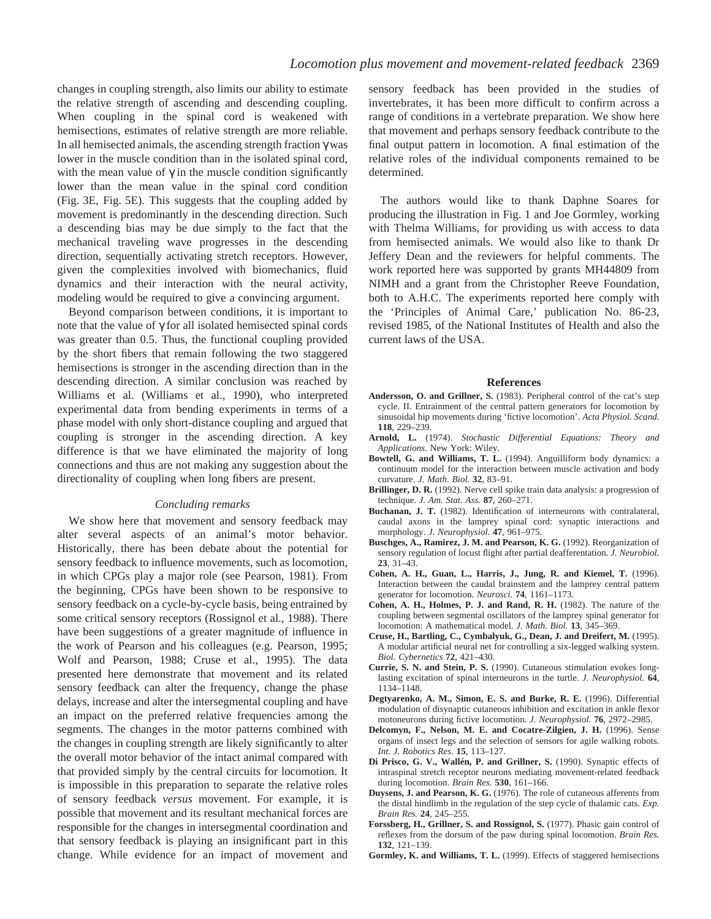changes in coupling strength, also limits our ability to estimate the relative strength of ascending and descending coupling. When coupling in the spinal cord is weakened with hemisections, estimates of relative strength are more reliable. In all hemisected animals, the ascending strength fraction  $\gamma$  was lower in the muscle condition than in the isolated spinal cord, with the mean value of  $\gamma$  in the muscle condition significantly lower than the mean value in the spinal cord condition (Fig. 3E, Fig. 5E). This suggests that the coupling added by movement is predominantly in the descending direction. Such a descending bias may be due simply to the fact that the mechanical traveling wave progresses in the descending direction, sequentially activating stretch receptors. However, given the complexities involved with biomechanics, fluid dynamics and their interaction with the neural activity, modeling would be required to give a convincing argument.

Beyond comparison between conditions, it is important to note that the value of γ for all isolated hemisected spinal cords was greater than 0.5. Thus, the functional coupling provided by the short fibers that remain following the two staggered hemisections is stronger in the ascending direction than in the descending direction. A similar conclusion was reached by Williams et al. (Williams et al., 1990), who interpreted experimental data from bending experiments in terms of a phase model with only short-distance coupling and argued that coupling is stronger in the ascending direction. A key difference is that we have eliminated the majority of long connections and thus are not making any suggestion about the directionality of coupling when long fibers are present.

### *Concluding remarks*

We show here that movement and sensory feedback may alter several aspects of an animal's motor behavior. Historically, there has been debate about the potential for sensory feedback to influence movements, such as locomotion, in which CPGs play a major role (see Pearson, 1981). From the beginning, CPGs have been shown to be responsive to sensory feedback on a cycle-by-cycle basis, being entrained by some critical sensory receptors (Rossignol et al., 1988). There have been suggestions of a greater magnitude of influence in the work of Pearson and his colleagues (e.g. Pearson, 1995; Wolf and Pearson, 1988; Cruse et al., 1995). The data presented here demonstrate that movement and its related sensory feedback can alter the frequency, change the phase delays, increase and alter the intersegmental coupling and have an impact on the preferred relative frequencies among the segments. The changes in the motor patterns combined with the changes in coupling strength are likely significantly to alter the overall motor behavior of the intact animal compared with that provided simply by the central circuits for locomotion. It is impossible in this preparation to separate the relative roles of sensory feedback *versus* movement. For example, it is possible that movement and its resultant mechanical forces are responsible for the changes in intersegmental coordination and that sensory feedback is playing an insignificant part in this change. While evidence for an impact of movement and

sensory feedback has been provided in the studies of invertebrates, it has been more difficult to confirm across a range of conditions in a vertebrate preparation. We show here that movement and perhaps sensory feedback contribute to the final output pattern in locomotion. A final estimation of the relative roles of the individual components remained to be determined.

The authors would like to thank Daphne Soares for producing the illustration in Fig. 1 and Joe Gormley, working with Thelma Williams, for providing us with access to data from hemisected animals. We would also like to thank Dr Jeffery Dean and the reviewers for helpful comments. The work reported here was supported by grants MH44809 from NIMH and a grant from the Christopher Reeve Foundation, both to A.H.C. The experiments reported here comply with the 'Principles of Animal Care,' publication No. 86-23, revised 1985, of the National Institutes of Health and also the current laws of the USA.

#### **References**

- **Andersson, O. and Grillner, S.** (1983). Peripheral control of the cat's step cycle. II. Entrainment of the central pattern generators for locomotion by sinusoidal hip movements during 'fictive locomotion'. *Acta Physiol. Scand*. **118**, 229–239.
- **Arnold, L.** (1974). *Stochastic Differential Equations: Theory and Applications*. New York: Wiley.
- **Bowtell, G. and Williams, T. L.** (1994). Anguilliform body dynamics: a continuum model for the interaction between muscle activation and body curvature. *J. Math. Biol.* **32**, 83–91.
- **Brillinger, D. R.** (1992). Nerve cell spike train data analysis: a progression of technique. *J. Am. Stat. Ass.* **87**, 260–271.
- **Buchanan, J. T.** (1982). Identification of interneurons with contralateral, caudal axons in the lamprey spinal cord: synaptic interactions and morphology. *J. Neurophysiol.* **47**, 961–975.
- Buschges, A., Ramirez, J. M. and Pearson, K. G. (1992). Reorganization of sensory regulation of locust flight after partial deafferentation. *J. Neurobiol.* **23**, 31–43.
- **Cohen, A. H., Guan, L., Harris, J., Jung, R. and Kiemel, T.** (1996). Interaction between the caudal brainstem and the lamprey central pattern generator for locomotion. *Neurosci.* **74**, 1161–1173.
- **Cohen, A. H., Holmes, P. J. and Rand, R. H.** (1982). The nature of the coupling between segmental oscillators of the lamprey spinal generator for locomotion: A mathematical model. *J. Math. Biol.* **13**, 345–369.
- **Cruse, H., Bartling, C., Cymbalyuk, G., Dean, J. and Dreifert, M.** (1995). A modular artificial neural net for controlling a six-legged walking system. *Biol. Cybernetics* **72**, 421–430.
- **Currie, S. N. and Stein, P. S.** (1990). Cutaneous stimulation evokes longlasting excitation of spinal interneurons in the turtle. *J. Neurophysiol.* **64**, 1134–1148.
- **Degtyarenko, A. M., Simon, E. S. and Burke, R. E.** (1996). Differential modulation of disynaptic cutaneous inhibition and excitation in ankle flexor motoneurons during fictive locomotion. *J. Neurophysiol.* **76**, 2972–2985.
- **Delcomyn, F., Nelson, M. E. and Cocatre-Zilgien, J. H.** (1996). Sense organs of insect legs and the selection of sensors for agile walking robots. *Int. J. Robotics Res*. **15**, 113–127.
- **Di Prisco, G. V., Wallén, P. and Grillner, S.** (1990). Synaptic effects of intraspinal stretch receptor neurons mediating movement-related feedback during locomotion. *Brain Res.* **530**, 161–166.
- **Duysens, J. and Pearson, K. G.** (1976). The role of cutaneous afferents from the distal hindlimb in the regulation of the step cycle of thalamic cats. *Exp. Brain Res.* **24**, 245–255.
- Forssberg, H., Grillner, S. and Rossignol, S. (1977). Phasic gain control of reflexes from the dorsum of the paw during spinal locomotion. *Brain Res.* **132**, 121–139.
- **Gormley, K. and Williams, T. L.** (1999). Effects of staggered hemisections